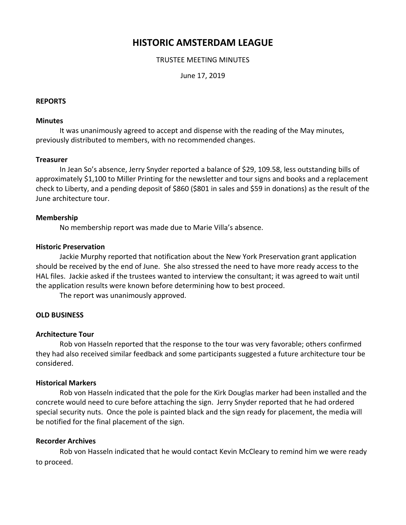# **HISTORIC AMSTERDAM LEAGUE**

# TRUSTEE MEETING MINUTES

June 17, 2019

### **REPORTS**

#### **Minutes**

It was unanimously agreed to accept and dispense with the reading of the May minutes, previously distributed to members, with no recommended changes.

## **Treasurer**

In Jean So's absence, Jerry Snyder reported a balance of \$29, 109.58, less outstanding bills of approximately \$1,100 to Miller Printing for the newsletter and tour signs and books and a replacement check to Liberty, and a pending deposit of \$860 (\$801 in sales and \$59 in donations) as the result of the June architecture tour.

## **Membership**

No membership report was made due to Marie Villa's absence.

#### **Historic Preservation**

Jackie Murphy reported that notification about the New York Preservation grant application should be received by the end of June. She also stressed the need to have more ready access to the HAL files. Jackie asked if the trustees wanted to interview the consultant; it was agreed to wait until the application results were known before determining how to best proceed.

The report was unanimously approved.

# **OLD BUSINESS**

#### **Architecture Tour**

Rob von Hasseln reported that the response to the tour was very favorable; others confirmed they had also received similar feedback and some participants suggested a future architecture tour be considered.

#### **Historical Markers**

Rob von Hasseln indicated that the pole for the Kirk Douglas marker had been installed and the concrete would need to cure before attaching the sign. Jerry Snyder reported that he had ordered special security nuts. Once the pole is painted black and the sign ready for placement, the media will be notified for the final placement of the sign.

# **Recorder Archives**

Rob von Hasseln indicated that he would contact Kevin McCleary to remind him we were ready to proceed.